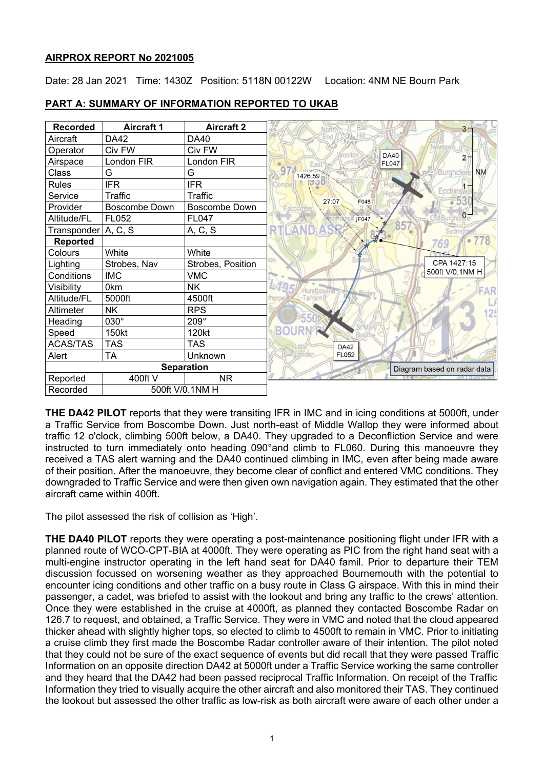## **AIRPROX REPORT No 2021005**

Date: 28 Jan 2021 Time: 1430Z Position: 5118N 00122W Location: 4NM NE Bourn Park



**PART A: SUMMARY OF INFORMATION REPORTED TO UKAB**

**THE DA42 PILOT** reports that they were transiting IFR in IMC and in icing conditions at 5000ft, under a Traffic Service from Boscombe Down. Just north-east of Middle Wallop they were informed about traffic 12 o'clock, climbing 500ft below, a DA40. They upgraded to a Deconfliction Service and were instructed to turn immediately onto heading 090°and climb to FL060. During this manoeuvre they received a TAS alert warning and the DA40 continued climbing in IMC, even after being made aware of their position. After the manoeuvre, they become clear of conflict and entered VMC conditions. They downgraded to Traffic Service and were then given own navigation again. They estimated that the other aircraft came within 400ft.

The pilot assessed the risk of collision as 'High'.

**THE DA40 PILOT** reports they were operating a post-maintenance positioning flight under IFR with a planned route of WCO-CPT-BIA at 4000ft. They were operating as PIC from the right hand seat with a multi-engine instructor operating in the left hand seat for DA40 famil. Prior to departure their TEM discussion focussed on worsening weather as they approached Bournemouth with the potential to encounter icing conditions and other traffic on a busy route in Class G airspace. With this in mind their passenger, a cadet, was briefed to assist with the lookout and bring any traffic to the crews' attention. Once they were established in the cruise at 4000ft, as planned they contacted Boscombe Radar on 126.7 to request, and obtained, a Traffic Service. They were in VMC and noted that the cloud appeared thicker ahead with slightly higher tops, so elected to climb to 4500ft to remain in VMC. Prior to initiating a cruise climb they first made the Boscombe Radar controller aware of their intention. The pilot noted that they could not be sure of the exact sequence of events but did recall that they were passed Traffic Information on an opposite direction DA42 at 5000ft under a Traffic Service working the same controller and they heard that the DA42 had been passed reciprocal Traffic Information. On receipt of the Traffic Information they tried to visually acquire the other aircraft and also monitored their TAS. They continued the lookout but assessed the other traffic as low-risk as both aircraft were aware of each other under a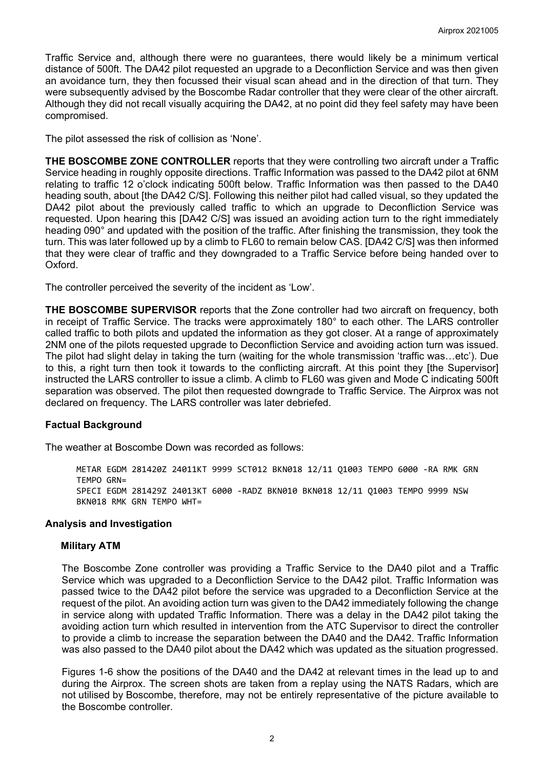Traffic Service and, although there were no guarantees, there would likely be a minimum vertical distance of 500ft. The DA42 pilot requested an upgrade to a Deconfliction Service and was then given an avoidance turn, they then focussed their visual scan ahead and in the direction of that turn. They were subsequently advised by the Boscombe Radar controller that they were clear of the other aircraft. Although they did not recall visually acquiring the DA42, at no point did they feel safety may have been compromised.

The pilot assessed the risk of collision as 'None'.

**THE BOSCOMBE ZONE CONTROLLER** reports that they were controlling two aircraft under a Traffic Service heading in roughly opposite directions. Traffic Information was passed to the DA42 pilot at 6NM relating to traffic 12 o'clock indicating 500ft below. Traffic Information was then passed to the DA40 heading south, about [the DA42 C/S]. Following this neither pilot had called visual, so they updated the DA42 pilot about the previously called traffic to which an upgrade to Deconfliction Service was requested. Upon hearing this [DA42 C/S] was issued an avoiding action turn to the right immediately heading 090° and updated with the position of the traffic. After finishing the transmission, they took the turn. This was later followed up by a climb to FL60 to remain below CAS. [DA42 C/S] was then informed that they were clear of traffic and they downgraded to a Traffic Service before being handed over to Oxford.

The controller perceived the severity of the incident as 'Low'.

**THE BOSCOMBE SUPERVISOR** reports that the Zone controller had two aircraft on frequency, both in receipt of Traffic Service. The tracks were approximately 180° to each other. The LARS controller called traffic to both pilots and updated the information as they got closer. At a range of approximately 2NM one of the pilots requested upgrade to Deconfliction Service and avoiding action turn was issued. The pilot had slight delay in taking the turn (waiting for the whole transmission 'traffic was…etc'). Due to this, a right turn then took it towards to the conflicting aircraft. At this point they [the Supervisor] instructed the LARS controller to issue a climb. A climb to FL60 was given and Mode C indicating 500ft separation was observed. The pilot then requested downgrade to Traffic Service. The Airprox was not declared on frequency. The LARS controller was later debriefed.

#### **Factual Background**

The weather at Boscombe Down was recorded as follows:

METAR EGDM 281420Z 24011KT 9999 SCT012 BKN018 12/11 Q1003 TEMPO 6000 -RA RMK GRN TEMPO GRN= SPECI EGDM 281429Z 24013KT 6000 -RADZ BKN010 BKN018 12/11 Q1003 TEMPO 9999 NSW BKN018 RMK GRN TEMPO WHT=

### **Analysis and Investigation**

#### **Military ATM**

The Boscombe Zone controller was providing a Traffic Service to the DA40 pilot and a Traffic Service which was upgraded to a Deconfliction Service to the DA42 pilot. Traffic Information was passed twice to the DA42 pilot before the service was upgraded to a Deconfliction Service at the request of the pilot. An avoiding action turn was given to the DA42 immediately following the change in service along with updated Traffic Information. There was a delay in the DA42 pilot taking the avoiding action turn which resulted in intervention from the ATC Supervisor to direct the controller to provide a climb to increase the separation between the DA40 and the DA42. Traffic Information was also passed to the DA40 pilot about the DA42 which was updated as the situation progressed.

Figures 1-6 show the positions of the DA40 and the DA42 at relevant times in the lead up to and during the Airprox. The screen shots are taken from a replay using the NATS Radars, which are not utilised by Boscombe, therefore, may not be entirely representative of the picture available to the Boscombe controller.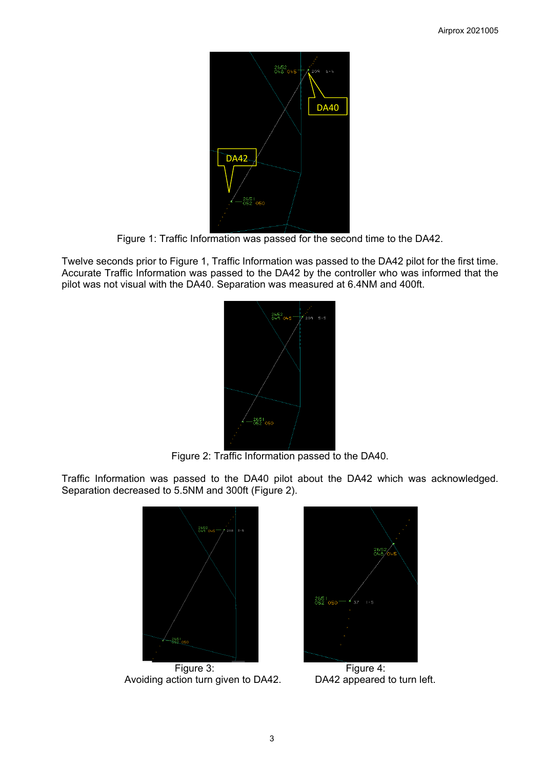

Figure 1: Traffic Information was passed for the second time to the DA42.

Twelve seconds prior to Figure 1, Traffic Information was passed to the DA42 pilot for the first time. Accurate Traffic Information was passed to the DA42 by the controller who was informed that the pilot was not visual with the DA40. Separation was measured at 6.4NM and 400ft.



Figure 2: Traffic Information passed to the DA40.

Traffic Information was passed to the DA40 pilot about the DA42 which was acknowledged. Separation decreased to 5.5NM and 300ft (Figure 2).



Figure 3: Figure 4: Avoiding action turn given to DA42. DA42 appeared to turn left.

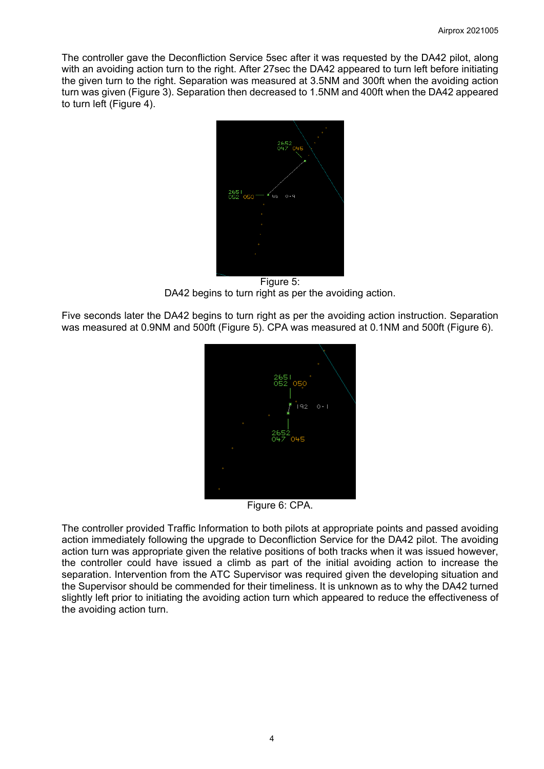The controller gave the Deconfliction Service 5sec after it was requested by the DA42 pilot, along with an avoiding action turn to the right. After 27sec the DA42 appeared to turn left before initiating the given turn to the right. Separation was measured at 3.5NM and 300ft when the avoiding action turn was given (Figure 3). Separation then decreased to 1.5NM and 400ft when the DA42 appeared to turn left (Figure 4).



Figure 5: DA42 begins to turn right as per the avoiding action.

Five seconds later the DA42 begins to turn right as per the avoiding action instruction. Separation was measured at 0.9NM and 500ft (Figure 5). CPA was measured at 0.1NM and 500ft (Figure 6).



Figure 6: CPA.

The controller provided Traffic Information to both pilots at appropriate points and passed avoiding action immediately following the upgrade to Deconfliction Service for the DA42 pilot. The avoiding action turn was appropriate given the relative positions of both tracks when it was issued however, the controller could have issued a climb as part of the initial avoiding action to increase the separation. Intervention from the ATC Supervisor was required given the developing situation and the Supervisor should be commended for their timeliness. It is unknown as to why the DA42 turned slightly left prior to initiating the avoiding action turn which appeared to reduce the effectiveness of the avoiding action turn.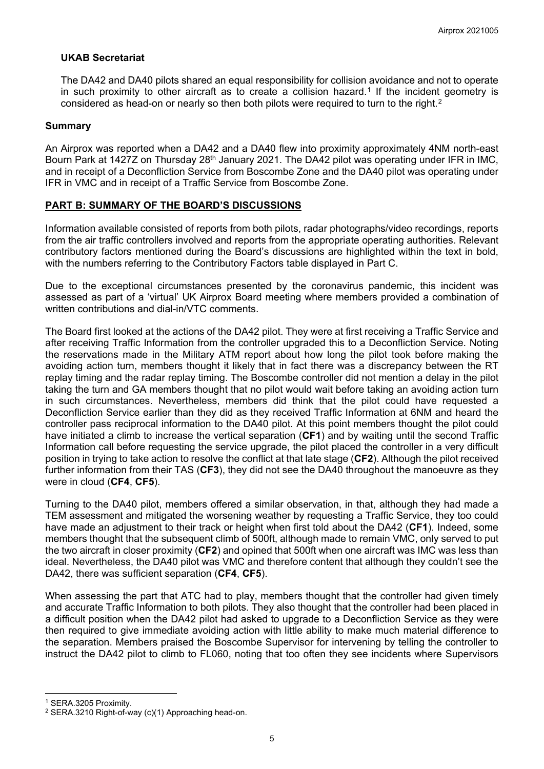## **UKAB Secretariat**

The DA42 and DA40 pilots shared an equal responsibility for collision avoidance and not to operate in such proximity to other aircraft as to create a collision hazard.<sup>[1](#page-4-0)</sup> If the incident geometry is considered as head-on or nearly so then both pilots were required to turn to the right.<sup>[2](#page-4-1)</sup>

### **Summary**

An Airprox was reported when a DA42 and a DA40 flew into proximity approximately 4NM north-east Bourn Park at 1427Z on Thursday 28<sup>th</sup> January 2021. The DA42 pilot was operating under IFR in IMC, and in receipt of a Deconfliction Service from Boscombe Zone and the DA40 pilot was operating under IFR in VMC and in receipt of a Traffic Service from Boscombe Zone.

## **PART B: SUMMARY OF THE BOARD'S DISCUSSIONS**

Information available consisted of reports from both pilots, radar photographs/video recordings, reports from the air traffic controllers involved and reports from the appropriate operating authorities. Relevant contributory factors mentioned during the Board's discussions are highlighted within the text in bold, with the numbers referring to the Contributory Factors table displayed in Part C.

Due to the exceptional circumstances presented by the coronavirus pandemic, this incident was assessed as part of a 'virtual' UK Airprox Board meeting where members provided a combination of written contributions and dial-in/VTC comments.

The Board first looked at the actions of the DA42 pilot. They were at first receiving a Traffic Service and after receiving Traffic Information from the controller upgraded this to a Deconfliction Service. Noting the reservations made in the Military ATM report about how long the pilot took before making the avoiding action turn, members thought it likely that in fact there was a discrepancy between the RT replay timing and the radar replay timing. The Boscombe controller did not mention a delay in the pilot taking the turn and GA members thought that no pilot would wait before taking an avoiding action turn in such circumstances. Nevertheless, members did think that the pilot could have requested a Deconfliction Service earlier than they did as they received Traffic Information at 6NM and heard the controller pass reciprocal information to the DA40 pilot. At this point members thought the pilot could have initiated a climb to increase the vertical separation (**CF1**) and by waiting until the second Traffic Information call before requesting the service upgrade, the pilot placed the controller in a very difficult position in trying to take action to resolve the conflict at that late stage (**CF2**). Although the pilot received further information from their TAS (**CF3**), they did not see the DA40 throughout the manoeuvre as they were in cloud (**CF4**, **CF5**).

Turning to the DA40 pilot, members offered a similar observation, in that, although they had made a TEM assessment and mitigated the worsening weather by requesting a Traffic Service, they too could have made an adjustment to their track or height when first told about the DA42 (**CF1**). Indeed, some members thought that the subsequent climb of 500ft, although made to remain VMC, only served to put the two aircraft in closer proximity (**CF2**) and opined that 500ft when one aircraft was IMC was less than ideal. Nevertheless, the DA40 pilot was VMC and therefore content that although they couldn't see the DA42, there was sufficient separation (**CF4**, **CF5**).

When assessing the part that ATC had to play, members thought that the controller had given timely and accurate Traffic Information to both pilots. They also thought that the controller had been placed in a difficult position when the DA42 pilot had asked to upgrade to a Deconfliction Service as they were then required to give immediate avoiding action with little ability to make much material difference to the separation. Members praised the Boscombe Supervisor for intervening by telling the controller to instruct the DA42 pilot to climb to FL060, noting that too often they see incidents where Supervisors

<span id="page-4-0"></span><sup>1</sup> SERA.3205 Proximity.

<span id="page-4-1"></span><sup>2</sup> SERA.3210 Right-of-way (c)(1) Approaching head-on.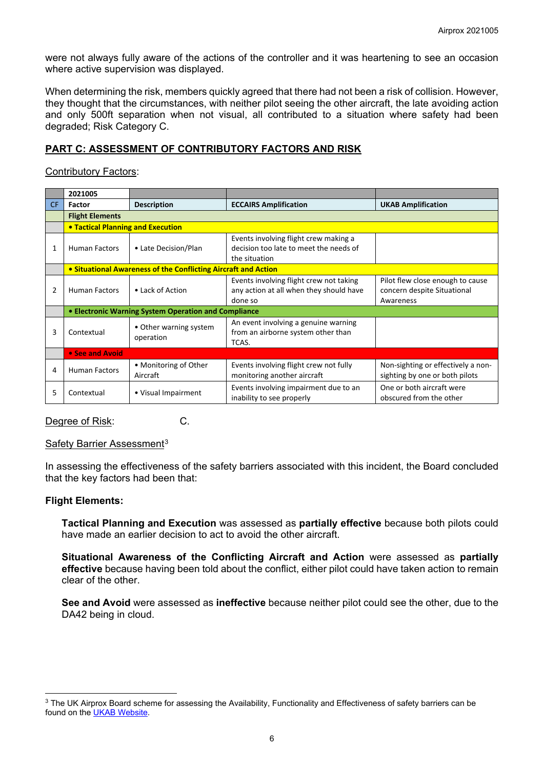were not always fully aware of the actions of the controller and it was heartening to see an occasion where active supervision was displayed.

When determining the risk, members quickly agreed that there had not been a risk of collision. However, they thought that the circumstances, with neither pilot seeing the other aircraft, the late avoiding action and only 500ft separation when not visual, all contributed to a situation where safety had been degraded; Risk Category C.

# **PART C: ASSESSMENT OF CONTRIBUTORY FACTORS AND RISK**

Contributory Factors:

|                | 2021005                                                        |                                     |                                                                                                  |                                                                              |  |  |  |  |  |  |  |  |
|----------------|----------------------------------------------------------------|-------------------------------------|--------------------------------------------------------------------------------------------------|------------------------------------------------------------------------------|--|--|--|--|--|--|--|--|
| CF.            | Factor                                                         | <b>Description</b>                  | <b>ECCAIRS Amplification</b>                                                                     | <b>UKAB Amplification</b>                                                    |  |  |  |  |  |  |  |  |
|                | <b>Flight Elements</b>                                         |                                     |                                                                                                  |                                                                              |  |  |  |  |  |  |  |  |
|                |                                                                | • Tactical Planning and Execution   |                                                                                                  |                                                                              |  |  |  |  |  |  |  |  |
| 1              | <b>Human Factors</b>                                           | • Late Decision/Plan                | Events involving flight crew making a<br>decision too late to meet the needs of<br>the situation |                                                                              |  |  |  |  |  |  |  |  |
|                | • Situational Awareness of the Conflicting Aircraft and Action |                                     |                                                                                                  |                                                                              |  |  |  |  |  |  |  |  |
| $\overline{2}$ | <b>Human Factors</b>                                           | • Lack of Action                    | Events involving flight crew not taking<br>any action at all when they should have<br>done so    | Pilot flew close enough to cause<br>concern despite Situational<br>Awareness |  |  |  |  |  |  |  |  |
|                | • Electronic Warning System Operation and Compliance           |                                     |                                                                                                  |                                                                              |  |  |  |  |  |  |  |  |
| 3              | Contextual                                                     | • Other warning system<br>operation | An event involving a genuine warning<br>from an airborne system other than<br>TCAS.              |                                                                              |  |  |  |  |  |  |  |  |
|                | • See and Avoid                                                |                                     |                                                                                                  |                                                                              |  |  |  |  |  |  |  |  |
| 4              | <b>Human Factors</b>                                           | • Monitoring of Other<br>Aircraft   | Events involving flight crew not fully<br>monitoring another aircraft                            | Non-sighting or effectively a non-<br>sighting by one or both pilots         |  |  |  |  |  |  |  |  |
| 5              | Contextual                                                     | • Visual Impairment                 | Events involving impairment due to an<br>inability to see properly                               | One or both aircraft were<br>obscured from the other                         |  |  |  |  |  |  |  |  |

Degree of Risk: C.

Safety Barrier Assessment<sup>[3](#page-5-0)</sup>

In assessing the effectiveness of the safety barriers associated with this incident, the Board concluded that the key factors had been that:

#### **Flight Elements:**

**Tactical Planning and Execution** was assessed as **partially effective** because both pilots could have made an earlier decision to act to avoid the other aircraft.

**Situational Awareness of the Conflicting Aircraft and Action** were assessed as **partially effective** because having been told about the conflict, either pilot could have taken action to remain clear of the other.

**See and Avoid** were assessed as **ineffective** because neither pilot could see the other, due to the DA42 being in cloud.

<span id="page-5-0"></span><sup>&</sup>lt;sup>3</sup> The UK Airprox Board scheme for assessing the Availability, Functionality and Effectiveness of safety barriers can be found on the [UKAB Website.](http://www.airproxboard.org.uk/Learn-more/Airprox-Barrier-Assessment/)